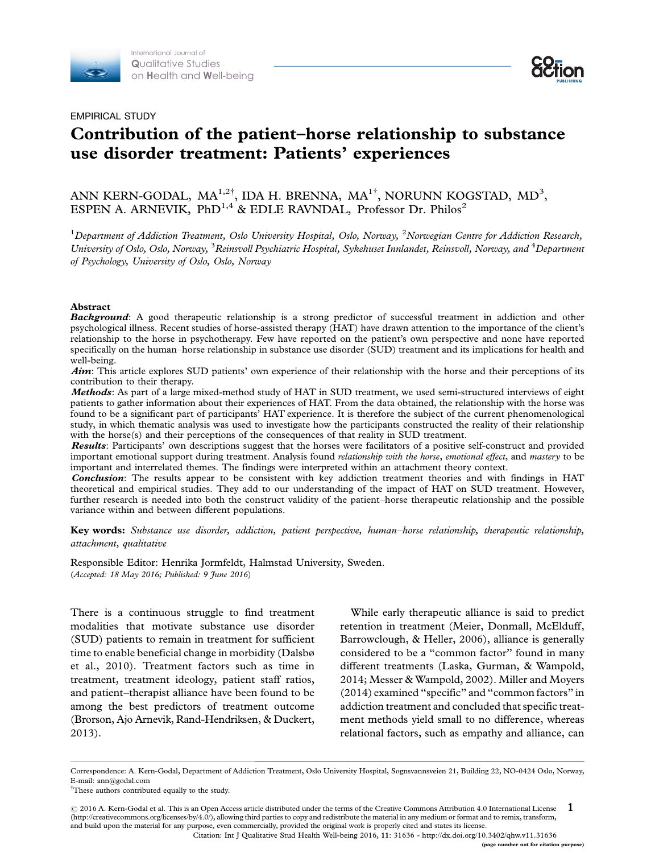

International Journal of **Q**ualitative Studies International Journal of<br>**Q**ualitative Studies<br>on Health and Well-being<br>TUDY



### EMPIRICAL STUDY

# Contribution of the patient-horse relationship to substance use disorder treatment: Patients' experiences

ANN KERN-GODAL,  $MA^{1,2^{\dagger}},$  IDA H. BRENNA,  $MA^{1^{\dagger}},$  NORUNN KOGSTAD,  $MD^3,$ ESPEN A. ARNEVIK, PhD<sup>1,4</sup> & EDLE RAVNDAL, Professor Dr. Philos<sup>2</sup>

<sup>1</sup>Department of Addiction Treatment, Oslo University Hospital, Oslo, Norway, <sup>2</sup>Norwegian Centre for Addiction Research, University of Oslo, Oslo, Norway, <sup>3</sup>Reinsvoll Psychiatric Hospital, Sykehuset Innlandet, Reinsvoll, Norway, and <sup>4</sup>Department of Psychology, University of Oslo, Oslo, Norway

#### Abstract

Background: A good therapeutic relationship is a strong predictor of successful treatment in addiction and other psychological illness. Recent studies of horse-assisted therapy (HAT) have drawn attention to the importance of the client's relationship to the horse in psychotherapy. Few have reported on the patient's own perspective and none have reported specifically on the human-horse relationship in substance use disorder (SUD) treatment and its implications for health and well-being.

Aim: This article explores SUD patients' own experience of their relationship with the horse and their perceptions of its contribution to their therapy.

Methods: As part of a large mixed-method study of HAT in SUD treatment, we used semi-structured interviews of eight patients to gather information about their experiences of HAT. From the data obtained, the relationship with the horse was found to be a significant part of participants' HAT experience. It is therefore the subject of the current phenomenological study, in which thematic analysis was used to investigate how the participants constructed the reality of their relationship with the horse(s) and their perceptions of the consequences of that reality in SUD treatment.

Results: Participants' own descriptions suggest that the horses were facilitators of a positive self-construct and provided important emotional support during treatment. Analysis found relationship with the horse, emotional effect, and mastery to be important and interrelated themes. The findings were interpreted within an attachment theory context.

**Conclusion:** The results appear to be consistent with key addiction treatment theories and with findings in HAT theoretical and empirical studies. They add to our understanding of the impact of HAT on SUD treatment. However, further research is needed into both the construct validity of the patient-horse therapeutic relationship and the possible variance within and between different populations.

Key words: Substance use disorder, addiction, patient perspective, human–horse relationship, therapeutic relationship, attachment, qualitative

Responsible Editor: Henrika Jormfeldt, Halmstad University, Sweden. (Accepted: 18 May 2016; Published: 9 June 2016)

There is a continuous struggle to find treatment modalities that motivate substance use disorder (SUD) patients to remain in treatment for sufficient time to enable beneficial change in morbidity (Dalsbø et al., 2010). Treatment factors such as time in treatment, treatment ideology, patient staff ratios, and patient-therapist alliance have been found to be among the best predictors of treatment outcome (Brorson, Ajo Arnevik, Rand-Hendriksen, & Duckert, 2013).

While early therapeutic alliance is said to predict retention in treatment (Meier, Donmall, McElduff, Barrowclough, & Heller, 2006), alliance is generally considered to be a ''common factor'' found in many different treatments (Laska, Gurman, & Wampold, 2014; Messer & Wampold, 2002). Miller and Moyers (2014) examined ''specific'' and ''common factors'' in addiction treatment and concluded that specific treatment methods yield small to no difference, whereas relational factors, such as empathy and alliance, can

Correspondence: A. Kern-Godal, Department of Addiction Treatment, Oslo University Hospital, Sognsvannsveien 21, Building 22, NO-0424 Oslo, Norway, E-mail: ann@godal.com

 $<sup>†</sup>$ These authors contributed equally to the study.</sup>

 $\odot$  2016 A. Kern-Godal et al. This is an Open Access article distributed under the terms of the Creative Commons Attribution 4.0 International License [\(http://creativecommons.org/licenses/by/4.0/\)](http://creativecommons.org/licenses/by/4.0/), allowing third parties to copy and redistribute the material in any medium or format and to remix, transform, and build upon the material for any purpose, even commercially, provided the original work is properly cited and states its license. 1 [Citation: Int J Qualitative Stud Health Well-being 2016,](http://www.ijqhw.net/index.php/qhw/article/view/31636) 11: 31636 -<http://dx.doi.org/10.3402/qhw.v11.31636>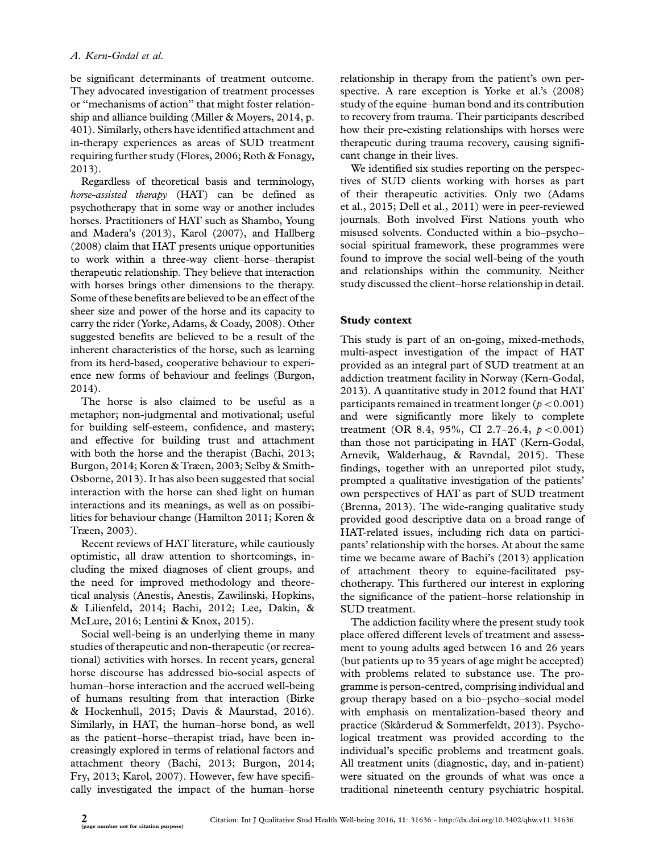be significant determinants of treatment outcome. They advocated investigation of treatment processes or ''mechanisms of action'' that might foster relationship and alliance building (Miller & Moyers, 2014, p. 401). Similarly, others have identified attachment and in-therapy experiences as areas of SUD treatment requiring further study (Flores, 2006; Roth & Fonagy, 2013).

Regardless of theoretical basis and terminology, horse-assisted therapy (HAT) can be defined as psychotherapy that in some way or another includes horses. Practitioners of HAT such as Shambo, Young and Madera's (2013), Karol (2007), and Hallberg (2008) claim that HAT presents unique opportunities to work within a three-way client-horse-therapist therapeutic relationship. They believe that interaction with horses brings other dimensions to the therapy. Some of these benefits are believed to be an effect of the sheer size and power of the horse and its capacity to carry the rider (Yorke, Adams, & Coady, 2008). Other suggested benefits are believed to be a result of the inherent characteristics of the horse, such as learning from its herd-based, cooperative behaviour to experience new forms of behaviour and feelings (Burgon, 2014).

The horse is also claimed to be useful as a metaphor; non-judgmental and motivational; useful for building self-esteem, confidence, and mastery; and effective for building trust and attachment with both the horse and the therapist (Bachi, 2013; Burgon, 2014; Koren & Træen, 2003; Selby & Smith-Osborne, 2013). It has also been suggested that social interaction with the horse can shed light on human interactions and its meanings, as well as on possibilities for behaviour change (Hamilton 2011; Koren & Træen, 2003).

Recent reviews of HAT literature, while cautiously optimistic, all draw attention to shortcomings, including the mixed diagnoses of client groups, and the need for improved methodology and theoretical analysis (Anestis, Anestis, Zawilinski, Hopkins, & Lilienfeld, 2014; Bachi, 2012; Lee, Dakin, & McLure, 2016; Lentini & Knox, 2015).

Social well-being is an underlying theme in many studies of therapeutic and non-therapeutic (or recreational) activities with horses. In recent years, general horse discourse has addressed bio-social aspects of human-horse interaction and the accrued well-being of humans resulting from that interaction (Birke & Hockenhull, 2015; Davis & Maurstad, 2016). Similarly, in HAT, the human-horse bond, as well as the patient-horse-therapist triad, have been increasingly explored in terms of relational factors and attachment theory (Bachi, 2013; Burgon, 2014; Fry, 2013; Karol, 2007). However, few have specifically investigated the impact of the human-horse

relationship in therapy from the patient's own perspective. A rare exception is Yorke et al.'s (2008) study of the equine-human bond and its contribution to recovery from trauma. Their participants described how their pre-existing relationships with horses were therapeutic during trauma recovery, causing significant change in their lives.

We identified six studies reporting on the perspectives of SUD clients working with horses as part of their therapeutic activities. Only two (Adams et al., 2015; Dell et al., 2011) were in peer-reviewed journals. Both involved First Nations youth who misused solvents. Conducted within a bio-psycho social-spiritual framework, these programmes were found to improve the social well-being of the youth and relationships within the community. Neither study discussed the client-horse relationship in detail.

# Study context

This study is part of an on-going, mixed-methods, multi-aspect investigation of the impact of HAT provided as an integral part of SUD treatment at an addiction treatment facility in Norway (Kern-Godal, 2013). A quantitative study in 2012 found that HAT participants remained in treatment longer ( $p < 0.001$ ) and were significantly more likely to complete treatment (OR 8.4, 95%, CI 2.7–26.4,  $p < 0.001$ ) than those not participating in HAT (Kern-Godal, Arnevik, Walderhaug, & Ravndal, 2015). These findings, together with an unreported pilot study, prompted a qualitative investigation of the patients' own perspectives of HAT as part of SUD treatment (Brenna, 2013). The wide-ranging qualitative study provided good descriptive data on a broad range of HAT-related issues, including rich data on participants' relationship with the horses. At about the same time we became aware of Bachi's (2013) application of attachment theory to equine-facilitated psychotherapy. This furthered our interest in exploring the significance of the patient-horse relationship in SUD treatment.

The addiction facility where the present study took place offered different levels of treatment and assessment to young adults aged between 16 and 26 years (but patients up to 35 years of age might be accepted) with problems related to substance use. The programme is person-centred, comprising individual and group therapy based on a bio-psycho-social model with emphasis on mentalization-based theory and practice (Skårderud & Sommerfeldt, 2013). Psychological treatment was provided according to the individual's specific problems and treatment goals. All treatment units (diagnostic, day, and in-patient) were situated on the grounds of what was once a traditional nineteenth century psychiatric hospital.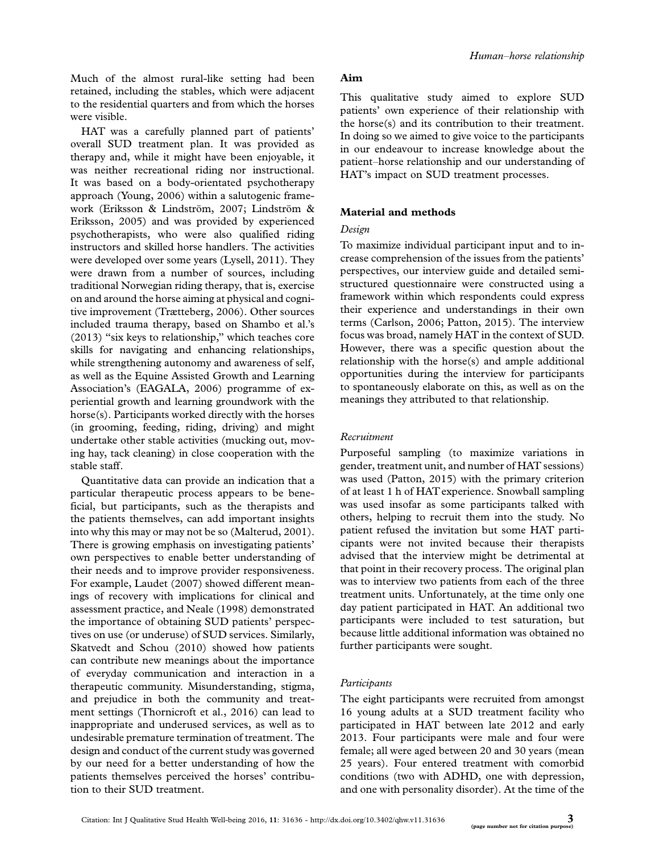Much of the almost rural-like setting had been retained, including the stables, which were adjacent to the residential quarters and from which the horses were visible.

HAT was a carefully planned part of patients' overall SUD treatment plan. It was provided as therapy and, while it might have been enjoyable, it was neither recreational riding nor instructional. It was based on a body-orientated psychotherapy approach (Young, 2006) within a salutogenic framework (Eriksson & Lindström, 2007; Lindström & Eriksson, 2005) and was provided by experienced psychotherapists, who were also qualified riding instructors and skilled horse handlers. The activities were developed over some years (Lysell, 2011). They were drawn from a number of sources, including traditional Norwegian riding therapy, that is, exercise on and around the horse aiming at physical and cognitive improvement (Trætteberg, 2006). Other sources included trauma therapy, based on Shambo et al.'s (2013) ''six keys to relationship,'' which teaches core skills for navigating and enhancing relationships, while strengthening autonomy and awareness of self, as well as the Equine Assisted Growth and Learning Association's (EAGALA, 2006) programme of experiential growth and learning groundwork with the horse(s). Participants worked directly with the horses (in grooming, feeding, riding, driving) and might undertake other stable activities (mucking out, moving hay, tack cleaning) in close cooperation with the stable staff.

Quantitative data can provide an indication that a particular therapeutic process appears to be beneficial, but participants, such as the therapists and the patients themselves, can add important insights into why this may or may not be so (Malterud, 2001). There is growing emphasis on investigating patients' own perspectives to enable better understanding of their needs and to improve provider responsiveness. For example, Laudet (2007) showed different meanings of recovery with implications for clinical and assessment practice, and Neale (1998) demonstrated the importance of obtaining SUD patients' perspectives on use (or underuse) of SUD services. Similarly, Skatvedt and Schou (2010) showed how patients can contribute new meanings about the importance of everyday communication and interaction in a therapeutic community. Misunderstanding, stigma, and prejudice in both the community and treatment settings (Thornicroft et al., 2016) can lead to inappropriate and underused services, as well as to undesirable premature termination of treatment. The design and conduct of the current study was governed by our need for a better understanding of how the patients themselves perceived the horses' contribution to their SUD treatment.

# Aim

This qualitative study aimed to explore SUD patients' own experience of their relationship with the horse(s) and its contribution to their treatment. In doing so we aimed to give voice to the participants in our endeavour to increase knowledge about the patient-horse relationship and our understanding of HAT's impact on SUD treatment processes.

## Material and methods

#### Design

To maximize individual participant input and to increase comprehension of the issues from the patients' perspectives, our interview guide and detailed semistructured questionnaire were constructed using a framework within which respondents could express their experience and understandings in their own terms (Carlson, 2006; Patton, 2015). The interview focus was broad, namely HAT in the context of SUD. However, there was a specific question about the relationship with the horse(s) and ample additional opportunities during the interview for participants to spontaneously elaborate on this, as well as on the meanings they attributed to that relationship.

#### Recruitment

Purposeful sampling (to maximize variations in gender, treatment unit, and number of HAT sessions) was used (Patton, 2015) with the primary criterion of at least 1 h of HATexperience. Snowball sampling was used insofar as some participants talked with others, helping to recruit them into the study. No patient refused the invitation but some HAT participants were not invited because their therapists advised that the interview might be detrimental at that point in their recovery process. The original plan was to interview two patients from each of the three treatment units. Unfortunately, at the time only one day patient participated in HAT. An additional two participants were included to test saturation, but because little additional information was obtained no further participants were sought.

#### Participants

The eight participants were recruited from amongst 16 young adults at a SUD treatment facility who participated in HAT between late 2012 and early 2013. Four participants were male and four were female; all were aged between 20 and 30 years (mean 25 years). Four entered treatment with comorbid conditions (two with ADHD, one with depression, and one with personality disorder). At the time of the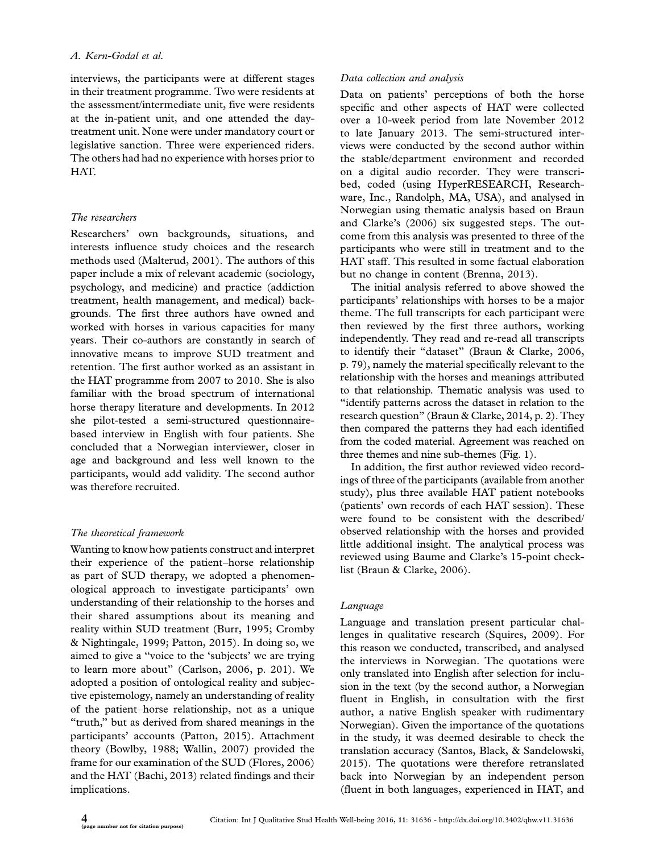interviews, the participants were at different stages in their treatment programme. Two were residents at the assessment/intermediate unit, five were residents at the in-patient unit, and one attended the daytreatment unit. None were under mandatory court or legislative sanction. Three were experienced riders. The others had had no experience with horses prior to HAT.

# The researchers

Researchers' own backgrounds, situations, and interests influence study choices and the research methods used (Malterud, 2001). The authors of this paper include a mix of relevant academic (sociology, psychology, and medicine) and practice (addiction treatment, health management, and medical) backgrounds. The first three authors have owned and worked with horses in various capacities for many years. Their co-authors are constantly in search of innovative means to improve SUD treatment and retention. The first author worked as an assistant in the HAT programme from 2007 to 2010. She is also familiar with the broad spectrum of international horse therapy literature and developments. In 2012 she pilot-tested a semi-structured questionnairebased interview in English with four patients. She concluded that a Norwegian interviewer, closer in age and background and less well known to the participants, would add validity. The second author was therefore recruited.

# The theoretical framework

Wanting to know how patients construct and interpret their experience of the patient-horse relationship as part of SUD therapy, we adopted a phenomenological approach to investigate participants' own understanding of their relationship to the horses and their shared assumptions about its meaning and reality within SUD treatment (Burr, 1995; Cromby & Nightingale, 1999; Patton, 2015). In doing so, we aimed to give a ''voice to the 'subjects' we are trying to learn more about'' (Carlson, 2006, p. 201). We adopted a position of ontological reality and subjective epistemology, namely an understanding of reality of the patient-horse relationship, not as a unique "truth," but as derived from shared meanings in the participants' accounts (Patton, 2015). Attachment theory (Bowlby, 1988; Wallin, 2007) provided the frame for our examination of the SUD (Flores, 2006) and the HAT (Bachi, 2013) related findings and their implications.

# Data collection and analysis

Data on patients' perceptions of both the horse specific and other aspects of HAT were collected over a 10-week period from late November 2012 to late January 2013. The semi-structured interviews were conducted by the second author within the stable/department environment and recorded on a digital audio recorder. They were transcribed, coded (using HyperRESEARCH, Researchware, Inc., Randolph, MA, USA), and analysed in Norwegian using thematic analysis based on Braun and Clarke's (2006) six suggested steps. The outcome from this analysis was presented to three of the participants who were still in treatment and to the HAT staff. This resulted in some factual elaboration but no change in content (Brenna, 2013).

The initial analysis referred to above showed the participants' relationships with horses to be a major theme. The full transcripts for each participant were then reviewed by the first three authors, working independently. They read and re-read all transcripts to identify their "dataset" (Braun & Clarke, 2006, p. 79), namely the material specifically relevant to the relationship with the horses and meanings attributed to that relationship. Thematic analysis was used to ''identify patterns across the dataset in relation to the research question'' (Braun & Clarke, 2014, p. 2). They then compared the patterns they had each identified from the coded material. Agreement was reached on three themes and nine sub-themes (Fig. 1).

In addition, the first author reviewed video recordings of three of the participants (available from another study), plus three available HAT patient notebooks (patients' own records of each HAT session). These were found to be consistent with the described/ observed relationship with the horses and provided little additional insight. The analytical process was reviewed using Baume and Clarke's 15-point checklist (Braun & Clarke, 2006).

# Language

Language and translation present particular challenges in qualitative research (Squires, 2009). For this reason we conducted, transcribed, and analysed the interviews in Norwegian. The quotations were only translated into English after selection for inclusion in the text (by the second author, a Norwegian fluent in English, in consultation with the first author, a native English speaker with rudimentary Norwegian). Given the importance of the quotations in the study, it was deemed desirable to check the translation accuracy (Santos, Black, & Sandelowski, 2015). The quotations were therefore retranslated back into Norwegian by an independent person (fluent in both languages, experienced in HAT, and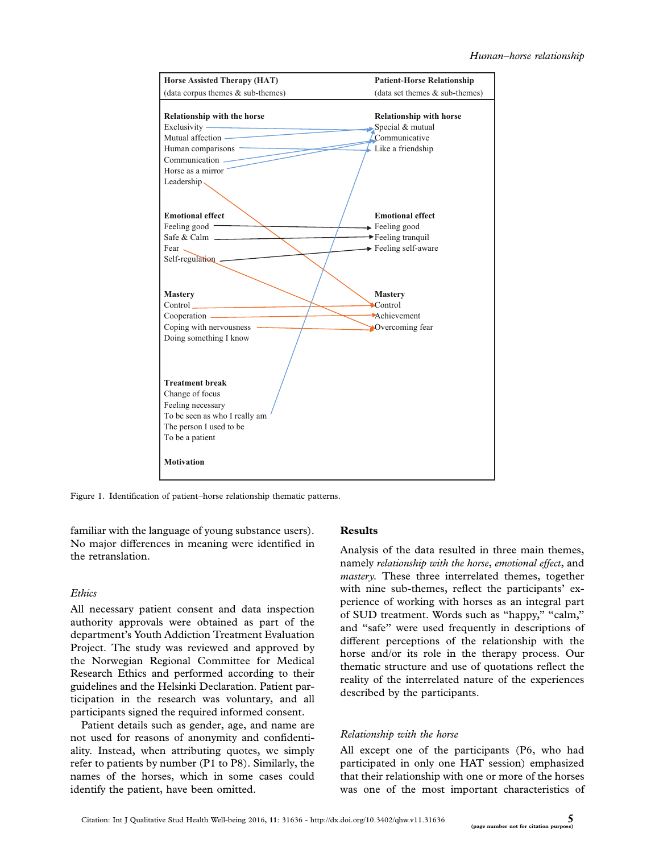

Figure 1. Identification of patient-horse relationship thematic patterns.

familiar with the language of young substance users). No major differences in meaning were identified in the retranslation.

## Ethics

All necessary patient consent and data inspection authority approvals were obtained as part of the department's Youth Addiction Treatment Evaluation Project. The study was reviewed and approved by the Norwegian Regional Committee for Medical Research Ethics and performed according to their guidelines and the Helsinki Declaration. Patient participation in the research was voluntary, and all participants signed the required informed consent.

Patient details such as gender, age, and name are not used for reasons of anonymity and confidentiality. Instead, when attributing quotes, we simply refer to patients by number (P1 to P8). Similarly, the names of the horses, which in some cases could identify the patient, have been omitted.

#### Results

Analysis of the data resulted in three main themes, namely relationship with the horse, emotional effect, and mastery. These three interrelated themes, together with nine sub-themes, reflect the participants' experience of working with horses as an integral part of SUD treatment. Words such as "happy," "calm," and ''safe'' were used frequently in descriptions of different perceptions of the relationship with the horse and/or its role in the therapy process. Our thematic structure and use of quotations reflect the reality of the interrelated nature of the experiences described by the participants.

#### Relationship with the horse

All except one of the participants (P6, who had participated in only one HAT session) emphasized that their relationship with one or more of the horses was one of the most important characteristics of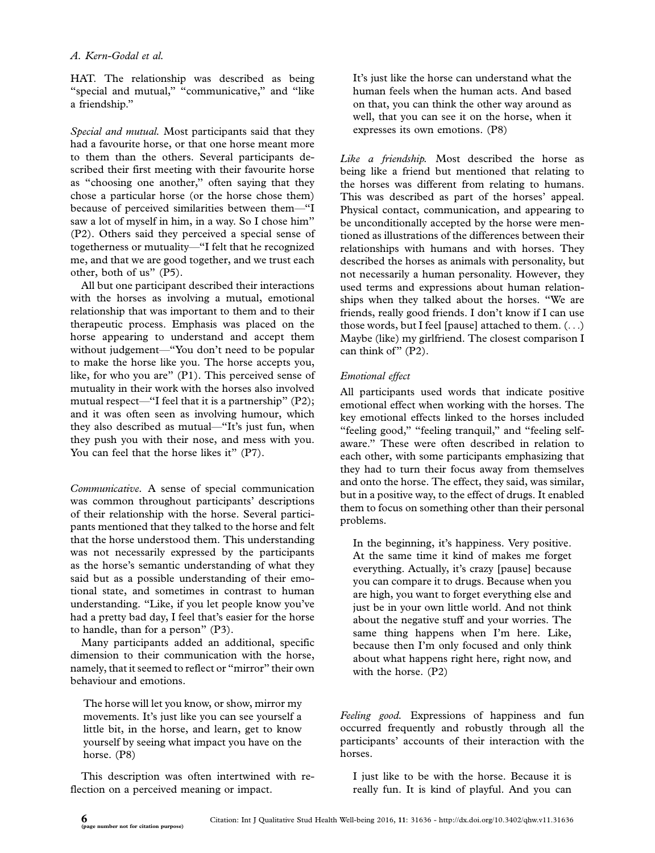HAT. The relationship was described as being "special and mutual," "communicative," and "like a friendship.''

Special and mutual. Most participants said that they had a favourite horse, or that one horse meant more to them than the others. Several participants described their first meeting with their favourite horse as ''choosing one another,'' often saying that they chose a particular horse (or the horse chose them) because of perceived similarities between them—"I saw a lot of myself in him, in a way. So I chose him'' (P2). Others said they perceived a special sense of togetherness or mutuality—"I felt that he recognized me, and that we are good together, and we trust each other, both of us'' (P5).

All but one participant described their interactions with the horses as involving a mutual, emotional relationship that was important to them and to their therapeutic process. Emphasis was placed on the horse appearing to understand and accept them without judgement—"You don't need to be popular to make the horse like you. The horse accepts you, like, for who you are'' (P1). This perceived sense of mutuality in their work with the horses also involved mutual respect—"I feel that it is a partnership"  $(P2)$ ; and it was often seen as involving humour, which they also described as mutual—"It's just fun, when they push you with their nose, and mess with you. You can feel that the horse likes it" (P7).

Communicative. A sense of special communication was common throughout participants' descriptions of their relationship with the horse. Several participants mentioned that they talked to the horse and felt that the horse understood them. This understanding was not necessarily expressed by the participants as the horse's semantic understanding of what they said but as a possible understanding of their emotional state, and sometimes in contrast to human understanding. ''Like, if you let people know you've had a pretty bad day, I feel that's easier for the horse to handle, than for a person'' (P3).

Many participants added an additional, specific dimension to their communication with the horse, namely, that it seemed to reflect or ''mirror'' their own behaviour and emotions.

The horse will let you know, or show, mirror my movements. It's just like you can see yourself a little bit, in the horse, and learn, get to know yourself by seeing what impact you have on the horse. (P8)

This description was often intertwined with reflection on a perceived meaning or impact.

It's just like the horse can understand what the human feels when the human acts. And based on that, you can think the other way around as well, that you can see it on the horse, when it expresses its own emotions. (P8)

Like a friendship. Most described the horse as being like a friend but mentioned that relating to the horses was different from relating to humans. This was described as part of the horses' appeal. Physical contact, communication, and appearing to be unconditionally accepted by the horse were mentioned as illustrations of the differences between their relationships with humans and with horses. They described the horses as animals with personality, but not necessarily a human personality. However, they used terms and expressions about human relationships when they talked about the horses. ''We are friends, really good friends. I don't know if I can use those words, but I feel [pause] attached to them.  $(\ldots)$ Maybe (like) my girlfriend. The closest comparison I can think of" (P2).

# Emotional effect

All participants used words that indicate positive emotional effect when working with the horses. The key emotional effects linked to the horses included "feeling good," "feeling tranquil," and "feeling selfaware.'' These were often described in relation to each other, with some participants emphasizing that they had to turn their focus away from themselves and onto the horse. The effect, they said, was similar, but in a positive way, to the effect of drugs. It enabled them to focus on something other than their personal problems.

In the beginning, it's happiness. Very positive. At the same time it kind of makes me forget everything. Actually, it's crazy [pause] because you can compare it to drugs. Because when you are high, you want to forget everything else and just be in your own little world. And not think about the negative stuff and your worries. The same thing happens when I'm here. Like, because then I'm only focused and only think about what happens right here, right now, and with the horse. (P2)

Feeling good. Expressions of happiness and fun occurred frequently and robustly through all the participants' accounts of their interaction with the horses.

I just like to be with the horse. Because it is really fun. It is kind of playful. And you can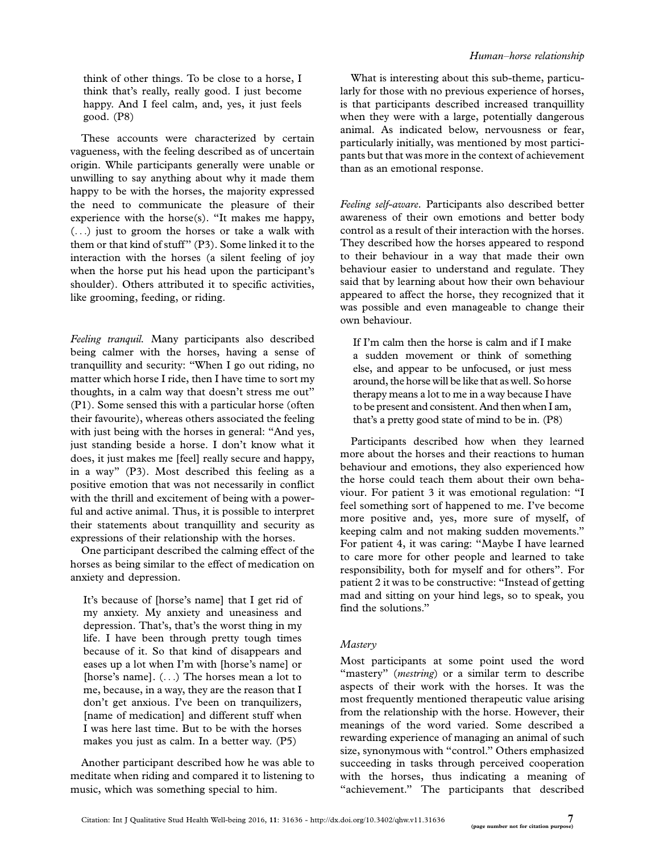think of other things. To be close to a horse, I think that's really, really good. I just become happy. And I feel calm, and, yes, it just feels good. (P8)

These accounts were characterized by certain vagueness, with the feeling described as of uncertain origin. While participants generally were unable or unwilling to say anything about why it made them happy to be with the horses, the majority expressed the need to communicate the pleasure of their experience with the horse(s). ''It makes me happy, (...) just to groom the horses or take a walk with them or that kind of stuff'' (P3). Some linked it to the interaction with the horses (a silent feeling of joy when the horse put his head upon the participant's shoulder). Others attributed it to specific activities, like grooming, feeding, or riding.

Feeling tranquil. Many participants also described being calmer with the horses, having a sense of tranquillity and security: ''When I go out riding, no matter which horse I ride, then I have time to sort my thoughts, in a calm way that doesn't stress me out'' (P1). Some sensed this with a particular horse (often their favourite), whereas others associated the feeling with just being with the horses in general: ''And yes, just standing beside a horse. I don't know what it does, it just makes me [feel] really secure and happy, in a way'' (P3). Most described this feeling as a positive emotion that was not necessarily in conflict with the thrill and excitement of being with a powerful and active animal. Thus, it is possible to interpret their statements about tranquillity and security as expressions of their relationship with the horses.

One participant described the calming effect of the horses as being similar to the effect of medication on anxiety and depression.

It's because of [horse's name] that I get rid of my anxiety. My anxiety and uneasiness and depression. That's, that's the worst thing in my life. I have been through pretty tough times because of it. So that kind of disappears and eases up a lot when I'm with [horse's name] or [horse's name]. (...) The horses mean a lot to me, because, in a way, they are the reason that I don't get anxious. I've been on tranquilizers, [name of medication] and different stuff when I was here last time. But to be with the horses makes you just as calm. In a better way. (P5)

Another participant described how he was able to meditate when riding and compared it to listening to music, which was something special to him.

What is interesting about this sub-theme, particularly for those with no previous experience of horses, is that participants described increased tranquillity when they were with a large, potentially dangerous animal. As indicated below, nervousness or fear, particularly initially, was mentioned by most participants but that was more in the context of achievement than as an emotional response.

Feeling self-aware. Participants also described better awareness of their own emotions and better body control as a result of their interaction with the horses. They described how the horses appeared to respond to their behaviour in a way that made their own behaviour easier to understand and regulate. They said that by learning about how their own behaviour appeared to affect the horse, they recognized that it was possible and even manageable to change their own behaviour.

If I'm calm then the horse is calm and if I make a sudden movement or think of something else, and appear to be unfocused, or just mess around, the horse will be like that as well. So horse therapy means a lot to me in a way because I have to be present and consistent. And then when I am, that's a pretty good state of mind to be in. (P8)

Participants described how when they learned more about the horses and their reactions to human behaviour and emotions, they also experienced how the horse could teach them about their own behaviour. For patient 3 it was emotional regulation: ''I feel something sort of happened to me. I've become more positive and, yes, more sure of myself, of keeping calm and not making sudden movements.'' For patient 4, it was caring: ''Maybe I have learned to care more for other people and learned to take responsibility, both for myself and for others''. For patient 2 it was to be constructive: ''Instead of getting mad and sitting on your hind legs, so to speak, you find the solutions.''

#### **Mastery**

Most participants at some point used the word "mastery" (*mestring*) or a similar term to describe aspects of their work with the horses. It was the most frequently mentioned therapeutic value arising from the relationship with the horse. However, their meanings of the word varied. Some described a rewarding experience of managing an animal of such size, synonymous with "control." Others emphasized succeeding in tasks through perceived cooperation with the horses, thus indicating a meaning of "achievement." The participants that described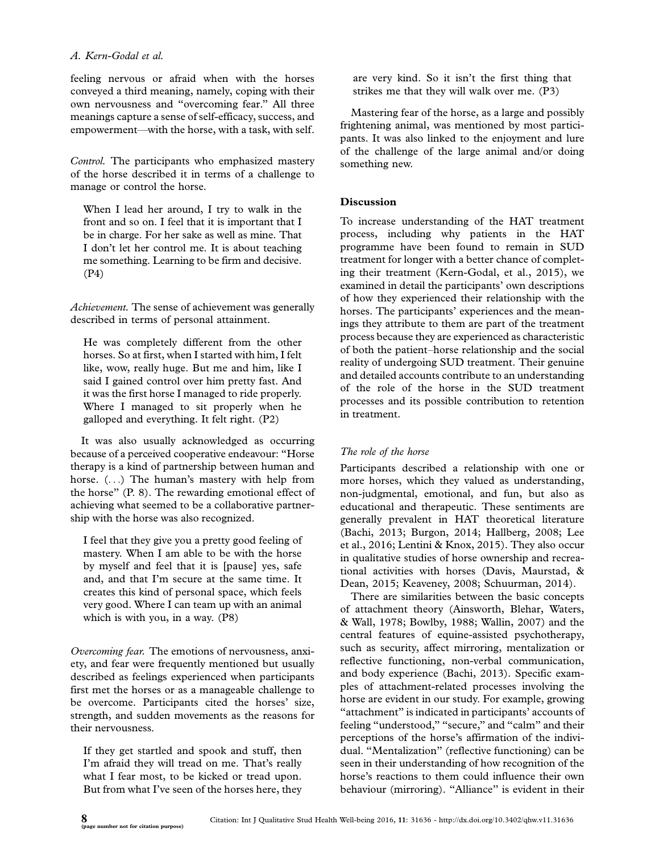## A. Kern-Godal et al.

feeling nervous or afraid when with the horses conveyed a third meaning, namely, coping with their own nervousness and ''overcoming fear.'' All three meanings capture a sense of self-efficacy, success, and empowerment—with the horse, with a task, with self.

Control. The participants who emphasized mastery of the horse described it in terms of a challenge to manage or control the horse.

When I lead her around, I try to walk in the front and so on. I feel that it is important that I be in charge. For her sake as well as mine. That I don't let her control me. It is about teaching me something. Learning to be firm and decisive. (P4)

Achievement. The sense of achievement was generally described in terms of personal attainment.

He was completely different from the other horses. So at first, when I started with him, I felt like, wow, really huge. But me and him, like I said I gained control over him pretty fast. And it was the first horse I managed to ride properly. Where I managed to sit properly when he galloped and everything. It felt right. (P2)

It was also usually acknowledged as occurring because of a perceived cooperative endeavour: ''Horse therapy is a kind of partnership between human and horse. (...) The human's mastery with help from the horse'' (P. 8). The rewarding emotional effect of achieving what seemed to be a collaborative partnership with the horse was also recognized.

I feel that they give you a pretty good feeling of mastery. When I am able to be with the horse by myself and feel that it is [pause] yes, safe and, and that I'm secure at the same time. It creates this kind of personal space, which feels very good. Where I can team up with an animal which is with you, in a way. (P8)

Overcoming fear. The emotions of nervousness, anxiety, and fear were frequently mentioned but usually described as feelings experienced when participants first met the horses or as a manageable challenge to be overcome. Participants cited the horses' size, strength, and sudden movements as the reasons for their nervousness.

If they get startled and spook and stuff, then I'm afraid they will tread on me. That's really what I fear most, to be kicked or tread upon. But from what I've seen of the horses here, they are very kind. So it isn't the first thing that strikes me that they will walk over me. (P3)

Mastering fear of the horse, as a large and possibly frightening animal, was mentioned by most participants. It was also linked to the enjoyment and lure of the challenge of the large animal and/or doing something new.

# Discussion

To increase understanding of the HAT treatment process, including why patients in the HAT programme have been found to remain in SUD treatment for longer with a better chance of completing their treatment (Kern-Godal, et al., 2015), we examined in detail the participants' own descriptions of how they experienced their relationship with the horses. The participants' experiences and the meanings they attribute to them are part of the treatment process because they are experienced as characteristic of both the patient-horse relationship and the social reality of undergoing SUD treatment. Their genuine and detailed accounts contribute to an understanding of the role of the horse in the SUD treatment processes and its possible contribution to retention in treatment.

# The role of the horse

Participants described a relationship with one or more horses, which they valued as understanding, non-judgmental, emotional, and fun, but also as educational and therapeutic. These sentiments are generally prevalent in HAT theoretical literature (Bachi, 2013; Burgon, 2014; Hallberg, 2008; Lee et al., 2016; Lentini & Knox, 2015). They also occur in qualitative studies of horse ownership and recreational activities with horses (Davis, Maurstad, & Dean, 2015; Keaveney, 2008; Schuurman, 2014).

There are similarities between the basic concepts of attachment theory (Ainsworth, Blehar, Waters, & Wall, 1978; Bowlby, 1988; Wallin, 2007) and the central features of equine-assisted psychotherapy, such as security, affect mirroring, mentalization or reflective functioning, non-verbal communication, and body experience (Bachi, 2013). Specific examples of attachment-related processes involving the horse are evident in our study. For example, growing "attachment" is indicated in participants' accounts of feeling "understood," "secure," and "calm" and their perceptions of the horse's affirmation of the individual. ''Mentalization'' (reflective functioning) can be seen in their understanding of how recognition of the horse's reactions to them could influence their own behaviour (mirroring). "Alliance" is evident in their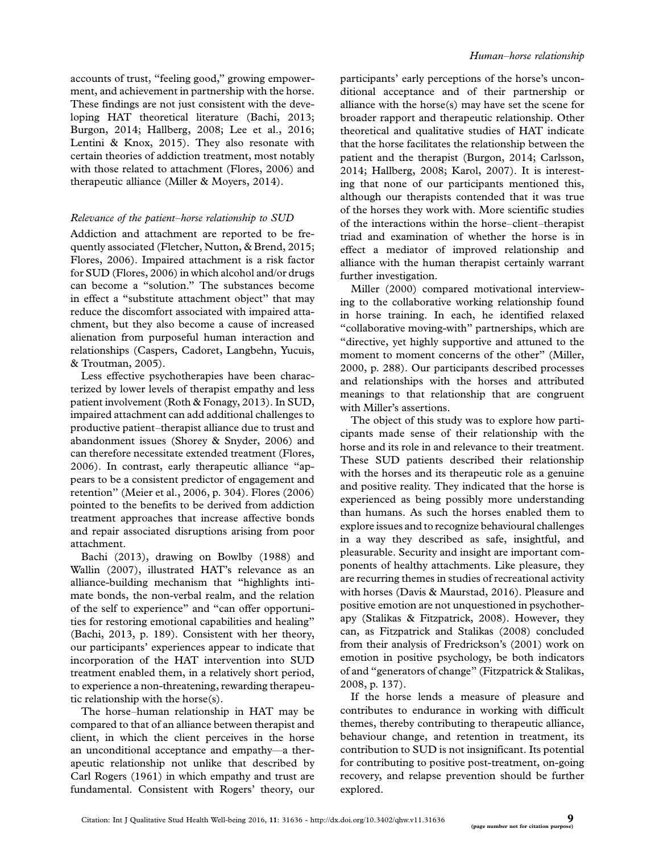accounts of trust, ''feeling good,'' growing empowerment, and achievement in partnership with the horse. These findings are not just consistent with the developing HAT theoretical literature (Bachi, 2013; Burgon, 2014; Hallberg, 2008; Lee et al., 2016; Lentini & Knox, 2015). They also resonate with certain theories of addiction treatment, most notably with those related to attachment (Flores, 2006) and therapeutic alliance (Miller & Moyers, 2014).

#### Relevance of the patient-horse relationship to SUD

Addiction and attachment are reported to be frequently associated (Fletcher, Nutton, & Brend, 2015; Flores, 2006). Impaired attachment is a risk factor for SUD (Flores, 2006) in which alcohol and/or drugs can become a ''solution.'' The substances become in effect a ''substitute attachment object'' that may reduce the discomfort associated with impaired attachment, but they also become a cause of increased alienation from purposeful human interaction and relationships (Caspers, Cadoret, Langbehn, Yucuis, & Troutman, 2005).

Less effective psychotherapies have been characterized by lower levels of therapist empathy and less patient involvement (Roth & Fonagy, 2013). In SUD, impaired attachment can add additional challenges to productive patient-therapist alliance due to trust and abandonment issues (Shorey & Snyder, 2006) and can therefore necessitate extended treatment (Flores, 2006). In contrast, early therapeutic alliance ''appears to be a consistent predictor of engagement and retention'' (Meier et al., 2006, p. 304). Flores (2006) pointed to the benefits to be derived from addiction treatment approaches that increase affective bonds and repair associated disruptions arising from poor attachment.

Bachi (2013), drawing on Bowlby (1988) and Wallin (2007), illustrated HAT's relevance as an alliance-building mechanism that ''highlights intimate bonds, the non-verbal realm, and the relation of the self to experience'' and ''can offer opportunities for restoring emotional capabilities and healing'' (Bachi, 2013, p. 189). Consistent with her theory, our participants' experiences appear to indicate that incorporation of the HAT intervention into SUD treatment enabled them, in a relatively short period, to experience a non-threatening, rewarding therapeutic relationship with the horse(s).

The horse-human relationship in HAT may be compared to that of an alliance between therapist and client, in which the client perceives in the horse an unconditional acceptance and empathy-a therapeutic relationship not unlike that described by Carl Rogers (1961) in which empathy and trust are fundamental. Consistent with Rogers' theory, our

participants' early perceptions of the horse's unconditional acceptance and of their partnership or alliance with the horse(s) may have set the scene for broader rapport and therapeutic relationship. Other theoretical and qualitative studies of HAT indicate that the horse facilitates the relationship between the patient and the therapist (Burgon, 2014; Carlsson, 2014; Hallberg, 2008; Karol, 2007). It is interesting that none of our participants mentioned this, although our therapists contended that it was true of the horses they work with. More scientific studies of the interactions within the horse-client-therapist triad and examination of whether the horse is in effect a mediator of improved relationship and alliance with the human therapist certainly warrant further investigation.

Miller (2000) compared motivational interviewing to the collaborative working relationship found in horse training. In each, he identified relaxed "collaborative moving-with" partnerships, which are ''directive, yet highly supportive and attuned to the moment to moment concerns of the other'' (Miller, 2000, p. 288). Our participants described processes and relationships with the horses and attributed meanings to that relationship that are congruent with Miller's assertions.

The object of this study was to explore how participants made sense of their relationship with the horse and its role in and relevance to their treatment. These SUD patients described their relationship with the horses and its therapeutic role as a genuine and positive reality. They indicated that the horse is experienced as being possibly more understanding than humans. As such the horses enabled them to explore issues and to recognize behavioural challenges in a way they described as safe, insightful, and pleasurable. Security and insight are important components of healthy attachments. Like pleasure, they are recurring themes in studies of recreational activity with horses (Davis & Maurstad, 2016). Pleasure and positive emotion are not unquestioned in psychotherapy (Stalikas & Fitzpatrick, 2008). However, they can, as Fitzpatrick and Stalikas (2008) concluded from their analysis of Fredrickson's (2001) work on emotion in positive psychology, be both indicators of and ''generators of change'' (Fitzpatrick & Stalikas, 2008, p. 137).

If the horse lends a measure of pleasure and contributes to endurance in working with difficult themes, thereby contributing to therapeutic alliance, behaviour change, and retention in treatment, its contribution to SUD is not insignificant. Its potential for contributing to positive post-treatment, on-going recovery, and relapse prevention should be further explored.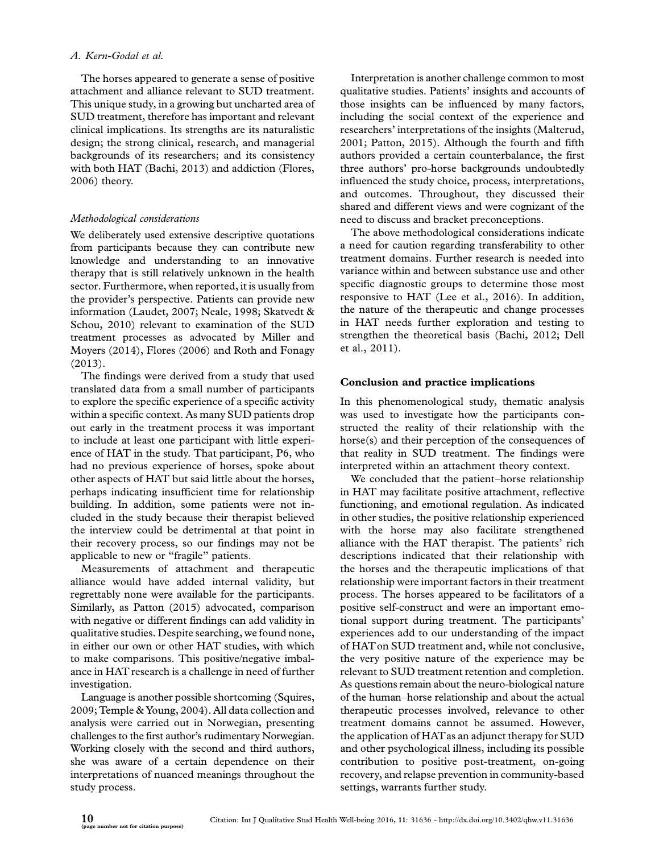## A. Kern-Godal et al.

The horses appeared to generate a sense of positive attachment and alliance relevant to SUD treatment. This unique study, in a growing but uncharted area of SUD treatment, therefore has important and relevant clinical implications. Its strengths are its naturalistic design; the strong clinical, research, and managerial backgrounds of its researchers; and its consistency with both HAT (Bachi, 2013) and addiction (Flores, 2006) theory.

## Methodological considerations

We deliberately used extensive descriptive quotations from participants because they can contribute new knowledge and understanding to an innovative therapy that is still relatively unknown in the health sector. Furthermore, when reported, it is usually from the provider's perspective. Patients can provide new information (Laudet, 2007; Neale, 1998; Skatvedt & Schou, 2010) relevant to examination of the SUD treatment processes as advocated by Miller and Moyers (2014), Flores (2006) and Roth and Fonagy (2013).

The findings were derived from a study that used translated data from a small number of participants to explore the specific experience of a specific activity within a specific context. As many SUD patients drop out early in the treatment process it was important to include at least one participant with little experience of HAT in the study. That participant, P6, who had no previous experience of horses, spoke about other aspects of HAT but said little about the horses, perhaps indicating insufficient time for relationship building. In addition, some patients were not included in the study because their therapist believed the interview could be detrimental at that point in their recovery process, so our findings may not be applicable to new or "fragile" patients.

Measurements of attachment and therapeutic alliance would have added internal validity, but regrettably none were available for the participants. Similarly, as Patton (2015) advocated, comparison with negative or different findings can add validity in qualitative studies. Despite searching, we found none, in either our own or other HAT studies, with which to make comparisons. This positive/negative imbalance in HAT research is a challenge in need of further investigation.

Language is another possible shortcoming (Squires, 2009; Temple & Young, 2004). All data collection and analysis were carried out in Norwegian, presenting challenges to the first author's rudimentary Norwegian. Working closely with the second and third authors, she was aware of a certain dependence on their interpretations of nuanced meanings throughout the study process.

Interpretation is another challenge common to most qualitative studies. Patients' insights and accounts of those insights can be influenced by many factors, including the social context of the experience and researchers' interpretations of the insights (Malterud, 2001; Patton, 2015). Although the fourth and fifth authors provided a certain counterbalance, the first three authors' pro-horse backgrounds undoubtedly influenced the study choice, process, interpretations, and outcomes. Throughout, they discussed their shared and different views and were cognizant of the need to discuss and bracket preconceptions.

The above methodological considerations indicate a need for caution regarding transferability to other treatment domains. Further research is needed into variance within and between substance use and other specific diagnostic groups to determine those most responsive to HAT (Lee et al., 2016). In addition, the nature of the therapeutic and change processes in HAT needs further exploration and testing to strengthen the theoretical basis (Bachi, 2012; Dell et al., 2011).

## Conclusion and practice implications

In this phenomenological study, thematic analysis was used to investigate how the participants constructed the reality of their relationship with the horse(s) and their perception of the consequences of that reality in SUD treatment. The findings were interpreted within an attachment theory context.

We concluded that the patient-horse relationship in HAT may facilitate positive attachment, reflective functioning, and emotional regulation. As indicated in other studies, the positive relationship experienced with the horse may also facilitate strengthened alliance with the HAT therapist. The patients' rich descriptions indicated that their relationship with the horses and the therapeutic implications of that relationship were important factors in their treatment process. The horses appeared to be facilitators of a positive self-construct and were an important emotional support during treatment. The participants' experiences add to our understanding of the impact of HATon SUD treatment and, while not conclusive, the very positive nature of the experience may be relevant to SUD treatment retention and completion. As questions remain about the neuro-biological nature of the human-horse relationship and about the actual therapeutic processes involved, relevance to other treatment domains cannot be assumed. However, the application of HATas an adjunct therapy for SUD and other psychological illness, including its possible contribution to positive post-treatment, on-going recovery, and relapse prevention in community-based settings, warrants further study.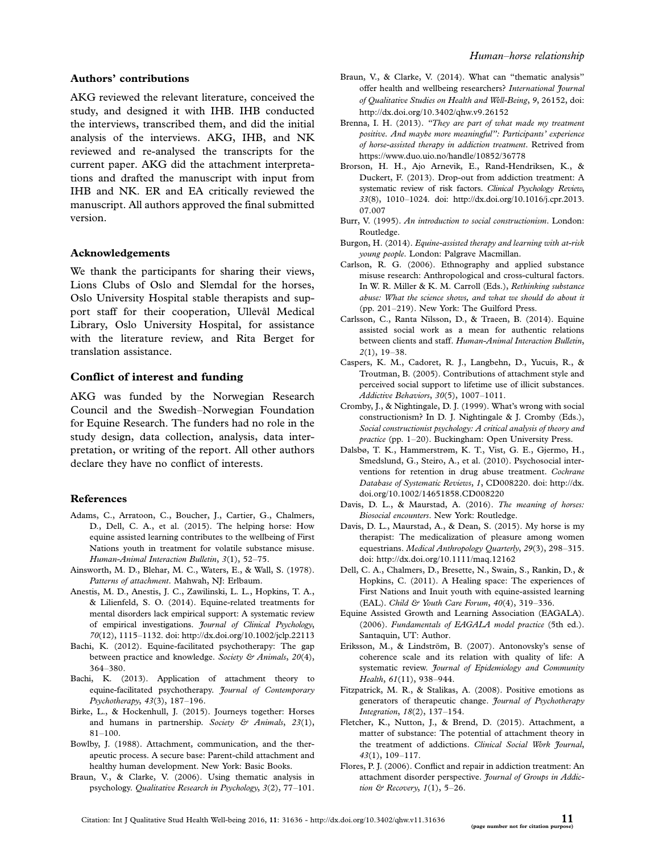#### Authors' contributions

AKG reviewed the relevant literature, conceived the study, and designed it with IHB. IHB conducted the interviews, transcribed them, and did the initial analysis of the interviews. AKG, IHB, and NK reviewed and re-analysed the transcripts for the current paper. AKG did the attachment interpretations and drafted the manuscript with input from IHB and NK. ER and EA critically reviewed the manuscript. All authors approved the final submitted version.

#### Acknowledgements

We thank the participants for sharing their views, Lions Clubs of Oslo and Slemdal for the horses, Oslo University Hospital stable therapists and support staff for their cooperation, Ullevål Medical Library, Oslo University Hospital, for assistance with the literature review, and Rita Berget for translation assistance.

#### Conflict of interest and funding

AKG was funded by the Norwegian Research Council and the Swedish-Norwegian Foundation for Equine Research. The funders had no role in the study design, data collection, analysis, data interpretation, or writing of the report. All other authors declare they have no conflict of interests.

#### References

- Adams, C., Arratoon, C., Boucher, J., Cartier, G., Chalmers, D., Dell, C. A., et al. (2015). The helping horse: How equine assisted learning contributes to the wellbeing of First Nations youth in treatment for volatile substance misuse. Human-Animal Interaction Bulletin, 3(1), 52-75.
- Ainsworth, M. D., Blehar, M. C., Waters, E., & Wall, S. (1978). Patterns of attachment. Mahwah, NJ: Erlbaum.
- Anestis, M. D., Anestis, J. C., Zawilinski, L. L., Hopkins, T. A., & Lilienfeld, S. O. (2014). Equine-related treatments for mental disorders lack empirical support: A systematic review of empirical investigations. Journal of Clinical Psychology, 70(12), 1115-1132. doi:<http://dx.doi.org/10.1002/jclp.22113>
- Bachi, K. (2012). Equine-facilitated psychotherapy: The gap between practice and knowledge. Society & Animals, 20(4), 364-380.
- Bachi, K. (2013). Application of attachment theory to equine-facilitated psychotherapy. Journal of Contemporary Psychotherapy, 43(3), 187-196.
- Birke, L., & Hockenhull, J. (2015). Journeys together: Horses and humans in partnership. Society & Animals, 23(1), 81-100.
- Bowlby, J. (1988). Attachment, communication, and the therapeutic process. A secure base: Parent-child attachment and healthy human development. New York: Basic Books.
- Braun, V., & Clarke, V. (2006). Using thematic analysis in psychology. Qualitative Research in Psychology, 3(2), 77-101.
- Braun, V., & Clarke, V. (2014). What can ''thematic analysis'' offer health and wellbeing researchers? International Journal of Qualitative Studies on Health and Well-Being, 9, 26152, doi: <http://dx.doi.org/10.3402/qhw.v9.26152>
- Brenna, I. H. (2013). "They are part of what made my treatment positive. And maybe more meaningful'': Participants' experience of horse-assisted therapy in addiction treatment. Retrived from <https://www.duo.uio.no/handle/10852/36778>
- Brorson, H. H., Ajo Arnevik, E., Rand-Hendriksen, K., & Duckert, F. (2013). Drop-out from addiction treatment: A systematic review of risk factors. Clinical Psychology Review, 33(8), 1010-1024. doi: [http://dx.doi.org/10.1016/j.cpr.2013.](http://dx.doi.org/10.1016/j.cpr.2013.07.007) [07.007](http://dx.doi.org/10.1016/j.cpr.2013.07.007)
- Burr, V. (1995). An introduction to social constructionism. London: Routledge.
- Burgon, H. (2014). Equine-assisted therapy and learning with at-risk young people. London: Palgrave Macmillan.
- Carlson, R. G. (2006). Ethnography and applied substance misuse research: Anthropological and cross-cultural factors. In W. R. Miller & K. M. Carroll (Eds.), Rethinking substance abuse: What the science shows, and what we should do about it (pp. 201-219). New York: The Guilford Press.
- Carlsson, C., Ranta Nilsson, D., & Traeen, B. (2014). Equine assisted social work as a mean for authentic relations between clients and staff. Human-Animal Interaction Bulletin, 2(1), 19-38.
- Caspers, K. M., Cadoret, R. J., Langbehn, D., Yucuis, R., & Troutman, B. (2005). Contributions of attachment style and perceived social support to lifetime use of illicit substances. Addictive Behaviors, 30(5), 1007-1011.
- Cromby, J., & Nightingale, D. J. (1999). What's wrong with social constructionism? In D. J. Nightingale & J. Cromby (Eds.), Social constructionist psychology: A critical analysis of theory and practice (pp. 1-20). Buckingham: Open University Press.
- Dalsbø, T. K., Hammerstrøm, K. T., Vist, G. E., Gjermo, H., Smedslund, G., Steiro, A., et al. (2010). Psychosocial interventions for retention in drug abuse treatment. Cochrane Database of Systematic Reviews, 1, CD008220. doi: [http://dx.](http://dx.doi.org/10.1002/14651858.CD008220) [doi.org/10.1002/14651858.CD008220](http://dx.doi.org/10.1002/14651858.CD008220)
- Davis, D. L., & Maurstad, A. (2016). The meaning of horses: Biosocial encounters. New York: Routledge.
- Davis, D. L., Maurstad, A., & Dean, S. (2015). My horse is my therapist: The medicalization of pleasure among women equestrians. Medical Anthropology Quarterly, 29(3), 298-315. doi:<http://dx.doi.org/10.1111/maq.12162>
- Dell, C. A., Chalmers, D., Bresette, N., Swain, S., Rankin, D., & Hopkins, C. (2011). A Healing space: The experiences of First Nations and Inuit youth with equine-assisted learning (EAL). Child & Youth Care Forum, 40(4), 319-336.
- Equine Assisted Growth and Learning Association (EAGALA). (2006). Fundamentals of EAGALA model practice (5th ed.). Santaquin, UT: Author.
- Eriksson, M., & Lindström, B. (2007). Antonovsky's sense of coherence scale and its relation with quality of life: A systematic review. Journal of Epidemiology and Community Health, 61(11), 938-944.
- Fitzpatrick, M. R., & Stalikas, A. (2008). Positive emotions as generators of therapeutic change. Journal of Psychotherapy Integration, 18(2), 137-154.
- Fletcher, K., Nutton, J., & Brend, D. (2015). Attachment, a matter of substance: The potential of attachment theory in the treatment of addictions. Clinical Social Work Journal, 43(1), 109-117.
- Flores, P. J. (2006). Conflict and repair in addiction treatment: An attachment disorder perspective. Journal of Groups in Addiction & Recovery, 1(1), 5-26.